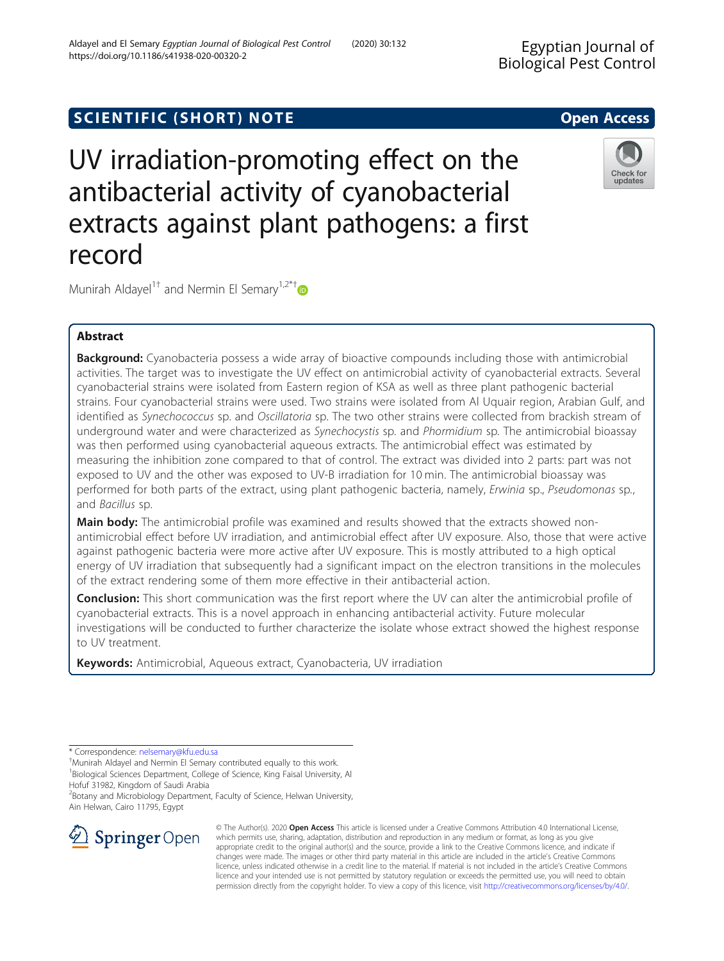# SCIENTIFIC (SHORT) NOTE And the open Access open Access

UV irradiation-promoting effect on the antibacterial activity of cyanobacterial extracts against plant pathogens: a first record

Munirah Aldayel<sup>1†</sup> and Nermin El Semary<sup>1,2\*†</sup>

## Abstract

Background: Cyanobacteria possess a wide array of bioactive compounds including those with antimicrobial activities. The target was to investigate the UV effect on antimicrobial activity of cyanobacterial extracts. Several cyanobacterial strains were isolated from Eastern region of KSA as well as three plant pathogenic bacterial strains. Four cyanobacterial strains were used. Two strains were isolated from Al Uquair region, Arabian Gulf, and identified as Synechococcus sp. and Oscillatoria sp. The two other strains were collected from brackish stream of underground water and were characterized as Synechocystis sp. and Phormidium sp. The antimicrobial bioassay was then performed using cyanobacterial aqueous extracts. The antimicrobial effect was estimated by measuring the inhibition zone compared to that of control. The extract was divided into 2 parts: part was not exposed to UV and the other was exposed to UV-B irradiation for 10 min. The antimicrobial bioassay was performed for both parts of the extract, using plant pathogenic bacteria, namely, Erwinia sp., Pseudomonas sp., and Bacillus sp.

Main body: The antimicrobial profile was examined and results showed that the extracts showed nonantimicrobial effect before UV irradiation, and antimicrobial effect after UV exposure. Also, those that were active against pathogenic bacteria were more active after UV exposure. This is mostly attributed to a high optical energy of UV irradiation that subsequently had a significant impact on the electron transitions in the molecules of the extract rendering some of them more effective in their antibacterial action.

**Conclusion:** This short communication was the first report where the UV can alter the antimicrobial profile of cyanobacterial extracts. This is a novel approach in enhancing antibacterial activity. Future molecular investigations will be conducted to further characterize the isolate whose extract showed the highest response to UV treatment.

Keywords: Antimicrobial, Aqueous extract, Cyanobacteria, UV irradiation

\* Correspondence: [nelsemary@kfu.edu.sa](mailto:nelsemary@kfu.edu.sa) †

Munirah Aldayel and Nermin El Semary contributed equally to this work. <sup>1</sup>Biological Sciences Department, College of Science, King Faisal University, Al Hofuf 31982, Kingdom of Saudi Arabia

<sup>2</sup> Botany and Microbiology Department, Faculty of Science, Helwan University, Ain Helwan, Cairo 11795, Egypt







updates

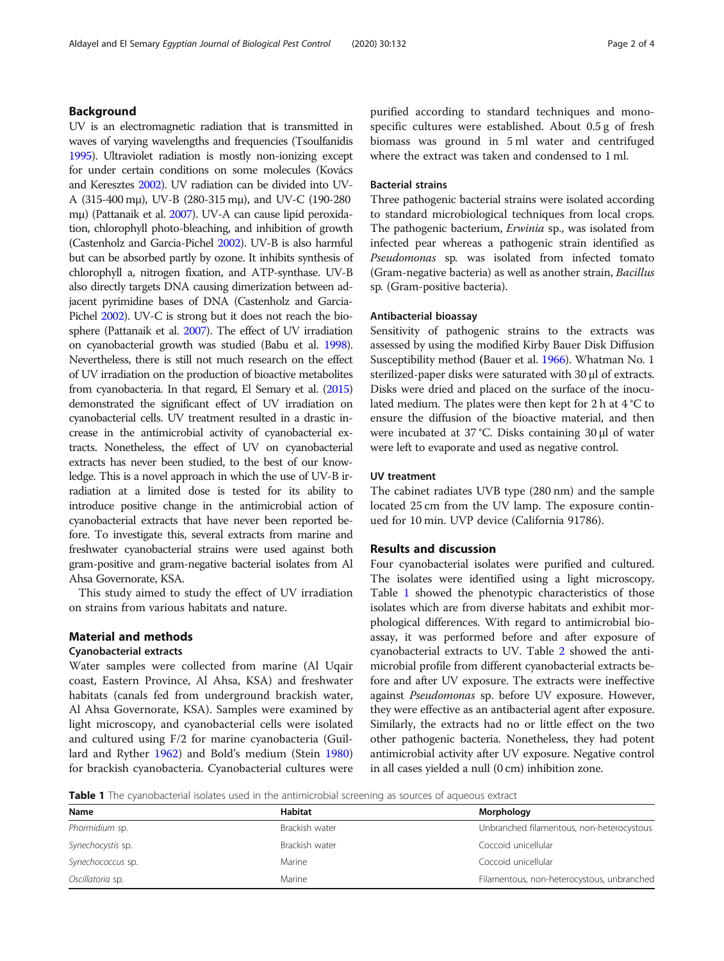## Background

UV is an electromagnetic radiation that is transmitted in waves of varying wavelengths and frequencies (Tsoulfanidis [1995](#page-3-0)). Ultraviolet radiation is mostly non-ionizing except for under certain conditions on some molecules (Kovács and Keresztes [2002](#page-3-0)). UV radiation can be divided into UV-A (315-400 mμ), UV-B (280-315 mμ), and UV-C (190-280 mμ) (Pattanaik et al. [2007](#page-3-0)). UV-A can cause lipid peroxidation, chlorophyll photo-bleaching, and inhibition of growth (Castenholz and Garcia-Pichel [2002\)](#page-3-0). UV-B is also harmful but can be absorbed partly by ozone. It inhibits synthesis of chlorophyll a, nitrogen fixation, and ATP-synthase. UV-B also directly targets DNA causing dimerization between adjacent pyrimidine bases of DNA (Castenholz and Garcia-Pichel [2002\)](#page-3-0). UV-C is strong but it does not reach the biosphere (Pattanaik et al. [2007\)](#page-3-0). The effect of UV irradiation on cyanobacterial growth was studied (Babu et al. [1998](#page-3-0)). Nevertheless, there is still not much research on the effect of UV irradiation on the production of bioactive metabolites from cyanobacteria. In that regard, El Semary et al. ([2015](#page-3-0)) demonstrated the significant effect of UV irradiation on cyanobacterial cells. UV treatment resulted in a drastic increase in the antimicrobial activity of cyanobacterial extracts. Nonetheless, the effect of UV on cyanobacterial extracts has never been studied, to the best of our knowledge. This is a novel approach in which the use of UV-B irradiation at a limited dose is tested for its ability to introduce positive change in the antimicrobial action of cyanobacterial extracts that have never been reported before. To investigate this, several extracts from marine and freshwater cyanobacterial strains were used against both gram-positive and gram-negative bacterial isolates from Al Ahsa Governorate, KSA.

This study aimed to study the effect of UV irradiation on strains from various habitats and nature.

## Material and methods

## Cyanobacterial extracts

Water samples were collected from marine (Al Uqair coast, Eastern Province, Al Ahsa, KSA) and freshwater habitats (canals fed from underground brackish water, Al Ahsa Governorate, KSA). Samples were examined by light microscopy, and cyanobacterial cells were isolated and cultured using F/2 for marine cyanobacteria (Guillard and Ryther [1962\)](#page-3-0) and Bold's medium (Stein [1980](#page-3-0)) for brackish cyanobacteria. Cyanobacterial cultures were purified according to standard techniques and monospecific cultures were established. About 0.5 g of fresh biomass was ground in 5 ml water and centrifuged where the extract was taken and condensed to 1 ml.

## Bacterial strains

Three pathogenic bacterial strains were isolated according to standard microbiological techniques from local crops. The pathogenic bacterium, *Erwinia* sp., was isolated from infected pear whereas a pathogenic strain identified as Pseudomonas sp. was isolated from infected tomato (Gram-negative bacteria) as well as another strain, Bacillus sp. (Gram-positive bacteria).

#### Antibacterial bioassay

Sensitivity of pathogenic strains to the extracts was assessed by using the modified Kirby Bauer Disk Diffusion Susceptibility method (Bauer et al. [1966](#page-3-0)). Whatman No. 1 sterilized-paper disks were saturated with 30 μl of extracts. Disks were dried and placed on the surface of the inoculated medium. The plates were then kept for 2 h at 4 °C to ensure the diffusion of the bioactive material, and then were incubated at 37 °C. Disks containing 30 μl of water were left to evaporate and used as negative control.

### UV treatment

The cabinet radiates UVB type (280 nm) and the sample located 25 cm from the UV lamp. The exposure continued for 10 min. UVP device (California 91786).

## Results and discussion

Four cyanobacterial isolates were purified and cultured. The isolates were identified using a light microscopy. Table 1 showed the phenotypic characteristics of those isolates which are from diverse habitats and exhibit morphological differences. With regard to antimicrobial bioassay, it was performed before and after exposure of cyanobacterial extracts to UV. Table [2](#page-2-0) showed the antimicrobial profile from different cyanobacterial extracts before and after UV exposure. The extracts were ineffective against Pseudomonas sp. before UV exposure. However, they were effective as an antibacterial agent after exposure. Similarly, the extracts had no or little effect on the two other pathogenic bacteria. Nonetheless, they had potent antimicrobial activity after UV exposure. Negative control in all cases yielded a null (0 cm) inhibition zone.

Table 1 The cyanobacterial isolates used in the antimicrobial screening as sources of aqueous extract

| Name              | Habitat        | Morphology                                 |
|-------------------|----------------|--------------------------------------------|
| Phormidium sp.    | Brackish water | Unbranched filamentous, non-heterocystous  |
| Synechocystis sp. | Brackish water | Coccoid unicellular                        |
| Synechococcus sp. | Marine         | Coccoid unicellular                        |
| Oscillatoria sp.  | Marine         | Filamentous, non-heterocystous, unbranched |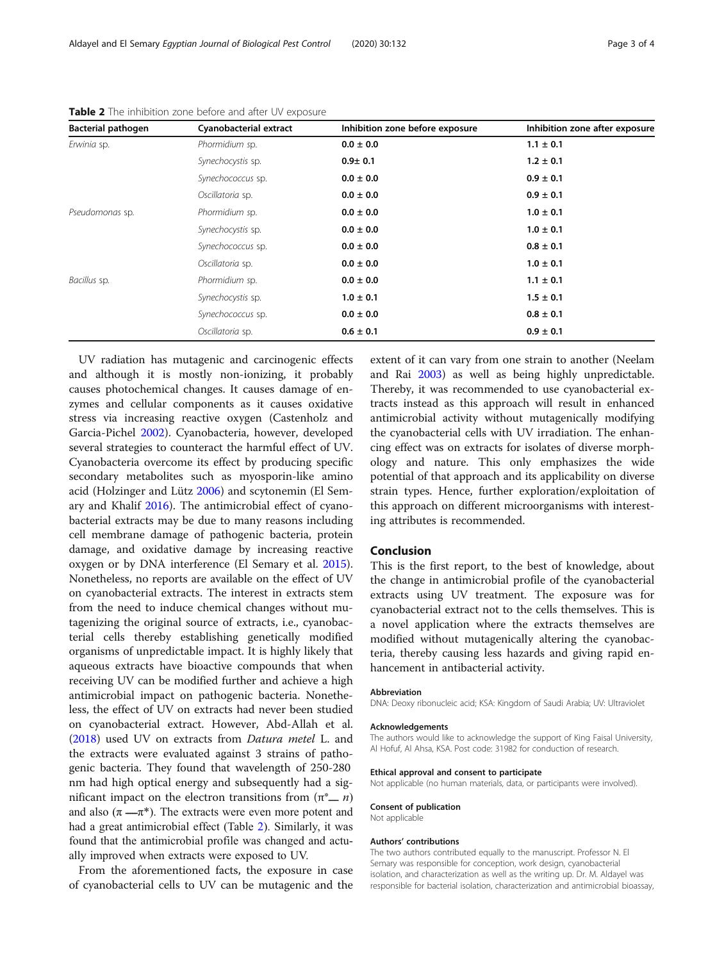| <b>Bacterial pathogen</b> | Cyanobacterial extract | Inhibition zone before exposure | Inhibition zone after exposure |
|---------------------------|------------------------|---------------------------------|--------------------------------|
| Erwinia sp.               | Phormidium sp.         | $0.0 \pm 0.0$                   | $1.1 \pm 0.1$                  |
|                           | Synechocystis sp.      | $0.9 + 0.1$                     | $1.2 \pm 0.1$                  |
|                           | Synechococcus sp.      | $0.0 \pm 0.0$                   | $0.9 \pm 0.1$                  |
|                           | Oscillatoria sp.       | $0.0 \pm 0.0$                   | $0.9 \pm 0.1$                  |
| Pseudomonas sp.           | Phormidium sp.         | $0.0 \pm 0.0$                   | $1.0 \pm 0.1$                  |
|                           | Synechocystis sp.      | $0.0 \pm 0.0$                   | $1.0 \pm 0.1$                  |
|                           | Synechococcus sp.      | $0.0 \pm 0.0$                   | $0.8 \pm 0.1$                  |
|                           | Oscillatoria sp.       | $0.0 \pm 0.0$                   | $1.0 \pm 0.1$                  |
| Bacillus sp.              | Phormidium sp.         | $0.0 \pm 0.0$                   | $1.1 \pm 0.1$                  |
|                           | Synechocystis sp.      | $1.0 \pm 0.1$                   | $1.5 \pm 0.1$                  |
|                           | Synechococcus sp.      | $0.0 \pm 0.0$                   | $0.8 \pm 0.1$                  |
|                           | Oscillatoria sp.       | $0.6 \pm 0.1$                   | $0.9 \pm 0.1$                  |

<span id="page-2-0"></span>Table 2 The inhibition zone before and after UV exposure

UV radiation has mutagenic and carcinogenic effects and although it is mostly non-ionizing, it probably causes photochemical changes. It causes damage of enzymes and cellular components as it causes oxidative stress via increasing reactive oxygen (Castenholz and Garcia-Pichel [2002](#page-3-0)). Cyanobacteria, however, developed several strategies to counteract the harmful effect of UV. Cyanobacteria overcome its effect by producing specific secondary metabolites such as myosporin-like amino acid (Holzinger and Lütz [2006](#page-3-0)) and scytonemin (El Semary and Khalif [2016](#page-3-0)). The antimicrobial effect of cyanobacterial extracts may be due to many reasons including cell membrane damage of pathogenic bacteria, protein damage, and oxidative damage by increasing reactive oxygen or by DNA interference (El Semary et al. [2015](#page-3-0)). Nonetheless, no reports are available on the effect of UV on cyanobacterial extracts. The interest in extracts stem from the need to induce chemical changes without mutagenizing the original source of extracts, i.e., cyanobacterial cells thereby establishing genetically modified organisms of unpredictable impact. It is highly likely that aqueous extracts have bioactive compounds that when receiving UV can be modified further and achieve a high antimicrobial impact on pathogenic bacteria. Nonetheless, the effect of UV on extracts had never been studied on cyanobacterial extract. However, Abd-Allah et al. ([2018](#page-3-0)) used UV on extracts from Datura metel L. and the extracts were evaluated against 3 strains of pathogenic bacteria. They found that wavelength of 250-280 nm had high optical energy and subsequently had a significant impact on the electron transitions from  $(π<sup>*</sup>_ n)$ and also  $(\pi - \pi^*)$ . The extracts were even more potent and had a great antimicrobial effect (Table 2). Similarly, it was found that the antimicrobial profile was changed and actually improved when extracts were exposed to UV.

From the aforementioned facts, the exposure in case of cyanobacterial cells to UV can be mutagenic and the extent of it can vary from one strain to another (Neelam and Rai [2003\)](#page-3-0) as well as being highly unpredictable. Thereby, it was recommended to use cyanobacterial extracts instead as this approach will result in enhanced antimicrobial activity without mutagenically modifying the cyanobacterial cells with UV irradiation. The enhancing effect was on extracts for isolates of diverse morphology and nature. This only emphasizes the wide potential of that approach and its applicability on diverse strain types. Hence, further exploration/exploitation of this approach on different microorganisms with interesting attributes is recommended.

## Conclusion

This is the first report, to the best of knowledge, about the change in antimicrobial profile of the cyanobacterial extracts using UV treatment. The exposure was for cyanobacterial extract not to the cells themselves. This is a novel application where the extracts themselves are modified without mutagenically altering the cyanobacteria, thereby causing less hazards and giving rapid enhancement in antibacterial activity.

#### Abbreviation

DNA: Deoxy ribonucleic acid; KSA: Kingdom of Saudi Arabia; UV: Ultraviolet

#### Acknowledgements

The authors would like to acknowledge the support of King Faisal University, Al Hofuf, Al Ahsa, KSA. Post code: 31982 for conduction of research.

#### Ethical approval and consent to participate

Not applicable (no human materials, data, or participants were involved).

## Consent of publication

Not applicable

#### Authors' contributions

The two authors contributed equally to the manuscript. Professor N. El Semary was responsible for conception, work design, cyanobacterial isolation, and characterization as well as the writing up. Dr. M. Aldayel was responsible for bacterial isolation, characterization and antimicrobial bioassay,